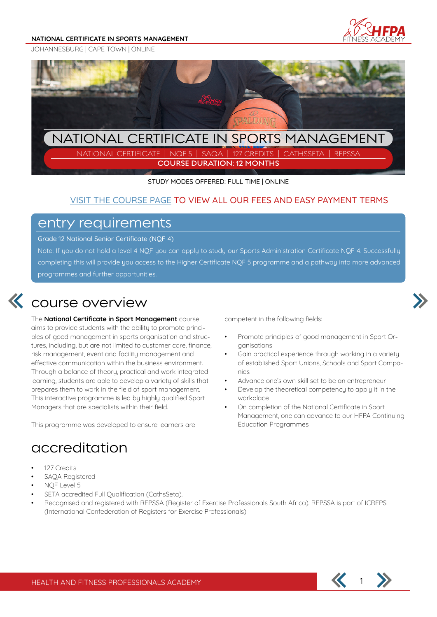#### **NATIONAL CERTIFICATE IN SPORTS MANAGEMENT**







NATIONAL CERTIFICATE | NQF 5 | SAQA | 127 CREDITS | CATHSSETA | REPSSA **COURSE DURATION: 12 MONTHS**

STUDY MODES OFFERED: FULL TIME | ONLINE

### VISIT THE COURSE PAGE TO VIEW ALL OUR FEES AND EASY PAYMENT TERMS

### entry requirements

Grade 12 National Senior Certificate (NQF 4)

Note: If you do not hold a level 4 NQF you can apply to study our Sports Administration Certificate NQF 4. Successfully completing this will provide you access to the Higher Certificate NQF 5 programme and a pathway into more advanced programmes and further opportunities.

## course overview

The **National Certificate in Sport Management** course aims to provide students with the ability to promote principles of good management in sports organisation and structures, including, but are not limited to customer care, finance, risk management, event and facility management and effective communication within the business environment. Through a balance of theory, practical and work integrated learning, students are able to develop a variety of skills that prepares them to work in the field of sport management. This interactive programme is led by highly qualified Sport Managers that are specialists within their field.

This programme was developed to ensure learners are

### accreditation

- 127 Credits
- SAQA Registered
- NQF Level 5
- SETA accredited Full Qualification (CathsSeta).
- Recognised and registered with REPSSA (Register of Exercise Professionals South Africa). REPSSA is part of ICREPS (International Confederation of Registers for Exercise Professionals).



competent in the following fields:

- Promote principles of good management in Sport Organisations
- Gain practical experience through working in a variety of established Sport Unions, Schools and Sport Companies
- Advance one's own skill set to be an entrepreneur
- Develop the theoretical competency to apply it in the workplace
- On completion of the National Certificate in Sport Management, one can advance to our HFPA Continuing Education Programmes

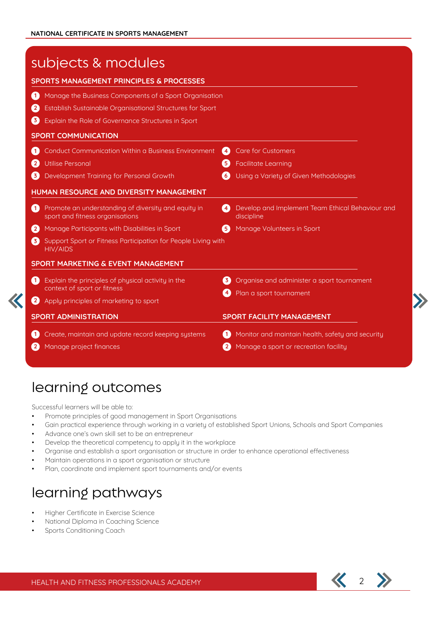| subjects & modules<br><b>SPORTS MANAGEMENT PRINCIPLES &amp; PROCESSES</b>                    |                                                                      |  |
|----------------------------------------------------------------------------------------------|----------------------------------------------------------------------|--|
|                                                                                              |                                                                      |  |
| $\mathbf{2}$<br>Establish Sustainable Organisational Structures for Sport                    |                                                                      |  |
| $\left( 3 \right)$<br>Explain the Role of Governance Structures in Sport                     |                                                                      |  |
| <b>SPORT COMMUNICATION</b>                                                                   |                                                                      |  |
| Conduct Communication Within a Business Environment<br>$\blacksquare$                        | <b>Care for Customers</b><br>(4)                                     |  |
| <b>Utilise Personal</b><br>$\left( 2 \right)$                                                | <b>Facilitate Learning</b><br>$\left[ 5 \right]$                     |  |
| 3<br>Development Training for Personal Growth                                                | $\left 6\right\rangle$<br>Using a Variety of Given Methodologies     |  |
| HUMAN RESOURCE AND DIVERSITY MANAGEMENT                                                      |                                                                      |  |
| 60<br>Promote an understanding of diversity and equity in<br>sport and fitness organisations | Develop and Implement Team Ethical Behaviour and<br>41<br>discipline |  |
| 2<br>Manage Participants with Disabilities in Sport                                          | Manage Volunteers in Sport<br>$\sqrt{5}$                             |  |
| 3)<br>Support Sport or Fitness Participation for People Living with<br><b>HIV/AIDS</b>       |                                                                      |  |
| <b>SPORT MARKETING &amp; EVENT MANAGEMENT</b>                                                |                                                                      |  |
| Explain the principles of physical activity in the<br>$\vert \mathbf{1} \rangle$             | Organise and administer a sport tournament<br>$\mathbf{3}$           |  |
| context of sport or fitness                                                                  | Plan a sport tournament                                              |  |
| Apply principles of marketing to sport                                                       |                                                                      |  |
| <b>SPORT ADMINISTRATION</b>                                                                  | <b>SPORT FACILITY MANAGEMENT</b>                                     |  |
| Create, maintain and update record keeping systems<br>$\mathbf{1}$                           | Monitor and maintain health, safety and security<br>60               |  |
| Manage project finances                                                                      | Manage a sport or recreation facility<br>$\left( 2\right)$           |  |
|                                                                                              |                                                                      |  |

## learning outcomes

Successful learners will be able to:

- Promote principles of good management in Sport Organisations
- Gain practical experience through working in a variety of established Sport Unions, Schools and Sport Companies
- Advance one's own skill set to be an entrepreneur
- Develop the theoretical competency to apply it in the workplace
- Organise and establish a sport organisation or structure in order to enhance operational effectiveness
- Maintain operations in a sport organisation or structure
- Plan, coordinate and implement sport tournaments and/or events

## learning pathways

- Higher Certificate in Exercise Science
- National Diploma in Coaching Science
- Sports Conditioning Coach